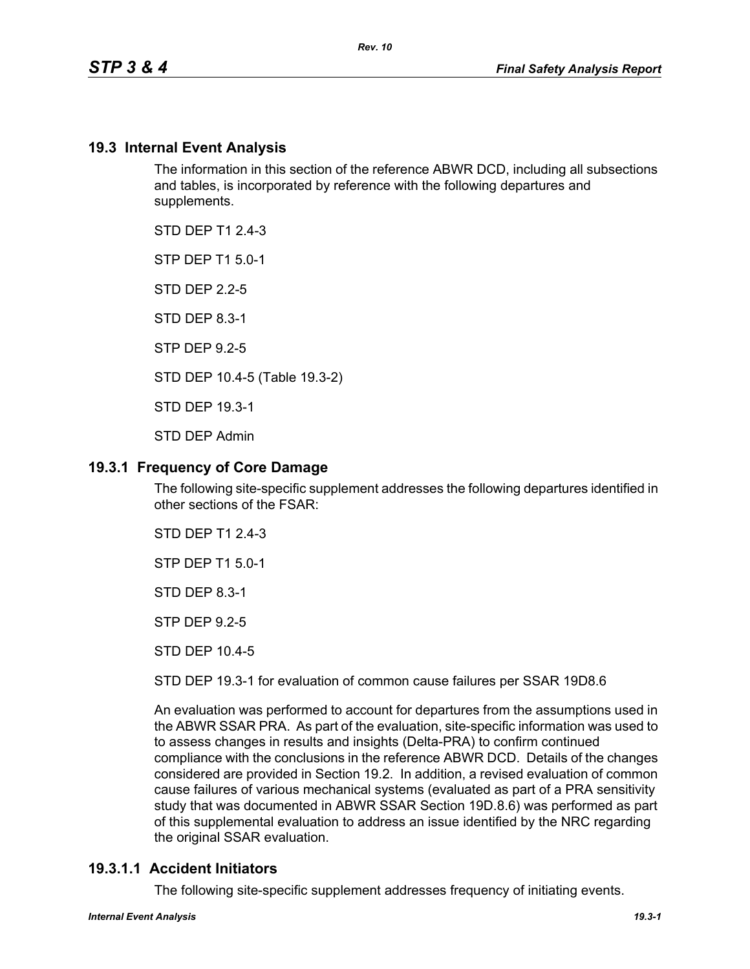## **19.3 Internal Event Analysis**

The information in this section of the reference ABWR DCD, including all subsections and tables, is incorporated by reference with the following departures and supplements.

STD DFP T1 2 4-3

STP DEP T1 5.0-1

STD DEP 2.2-5

STD DEP 8.3-1

STP DEP 9.2-5

STD DEP 10.4-5 (Table 19.3-2)

STD DEP 19.3-1

STD DEP Admin

## **19.3.1 Frequency of Core Damage**

The following site-specific supplement addresses the following departures identified in other sections of the FSAR:

STD DEP T1 2.4-3

STP DEP T1 5.0-1

STD DEP 8.3-1

STP DEP 9.2-5

STD DEP 10.4-5

STD DEP 19.3-1 for evaluation of common cause failures per SSAR 19D8.6

An evaluation was performed to account for departures from the assumptions used in the ABWR SSAR PRA. As part of the evaluation, site-specific information was used to to assess changes in results and insights (Delta-PRA) to confirm continued compliance with the conclusions in the reference ABWR DCD. Details of the changes considered are provided in Section 19.2. In addition, a revised evaluation of common cause failures of various mechanical systems (evaluated as part of a PRA sensitivity study that was documented in ABWR SSAR Section 19D.8.6) was performed as part of this supplemental evaluation to address an issue identified by the NRC regarding the original SSAR evaluation.

## **19.3.1.1 Accident Initiators**

The following site-specific supplement addresses frequency of initiating events.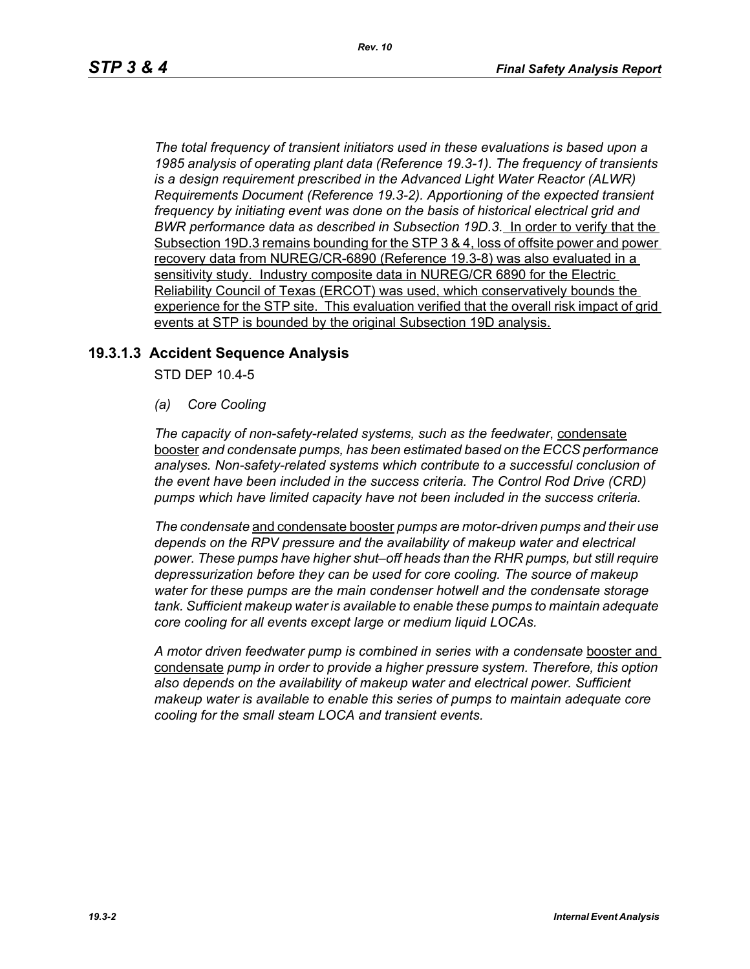*The total frequency of transient initiators used in these evaluations is based upon a 1985 analysis of operating plant data (Reference 19.3-1). The frequency of transients is a design requirement prescribed in the Advanced Light Water Reactor (ALWR) Requirements Document (Reference 19.3-2). Apportioning of the expected transient frequency by initiating event was done on the basis of historical electrical grid and BWR performance data as described in Subsection 19D.3.* In order to verify that the Subsection 19D.3 remains bounding for the STP 3 & 4, loss of offsite power and power recovery data from NUREG/CR-6890 (Reference 19.3-8) was also evaluated in a sensitivity study. Industry composite data in NUREG/CR 6890 for the Electric Reliability Council of Texas (ERCOT) was used, which conservatively bounds the experience for the STP site. This evaluation verified that the overall risk impact of grid events at STP is bounded by the original Subsection 19D analysis.

## **19.3.1.3 Accident Sequence Analysis**

STD DEP 10.4-5

*(a) Core Cooling*

*The capacity of non-safety-related systems, such as the feedwater*, condensate booster *and condensate pumps, has been estimated based on the ECCS performance analyses. Non-safety-related systems which contribute to a successful conclusion of the event have been included in the success criteria. The Control Rod Drive (CRD) pumps which have limited capacity have not been included in the success criteria.*

*The condensate* and condensate booster *pumps are motor-driven pumps and their use depends on the RPV pressure and the availability of makeup water and electrical power. These pumps have higher shut–off heads than the RHR pumps, but still require depressurization before they can be used for core cooling. The source of makeup water for these pumps are the main condenser hotwell and the condensate storage tank. Sufficient makeup water is available to enable these pumps to maintain adequate core cooling for all events except large or medium liquid LOCAs.*

*A motor driven feedwater pump is combined in series with a condensate* booster and condensate *pump in order to provide a higher pressure system. Therefore, this option also depends on the availability of makeup water and electrical power. Sufficient makeup water is available to enable this series of pumps to maintain adequate core cooling for the small steam LOCA and transient events.*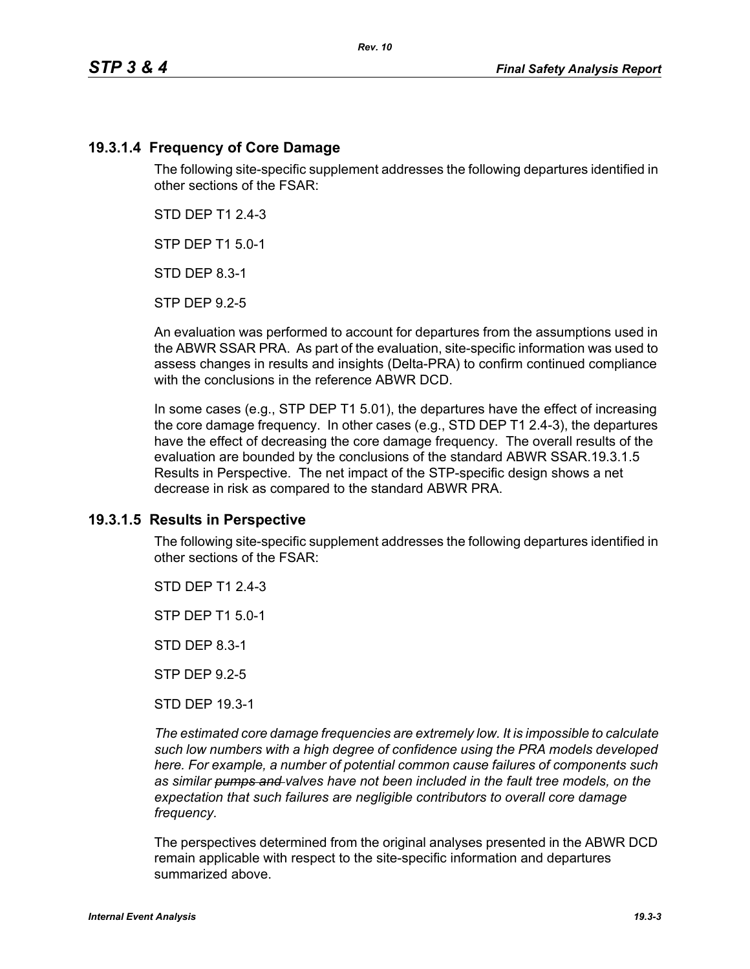## **19.3.1.4 Frequency of Core Damage**

The following site-specific supplement addresses the following departures identified in other sections of the FSAR:

STD DEP T1 2.4-3

STP DEP T1 5.0-1

STD DEP 8.3-1

STP DEP 9.2-5

An evaluation was performed to account for departures from the assumptions used in the ABWR SSAR PRA. As part of the evaluation, site-specific information was used to assess changes in results and insights (Delta-PRA) to confirm continued compliance with the conclusions in the reference ABWR DCD.

In some cases (e.g., STP DEP T1 5.01), the departures have the effect of increasing the core damage frequency. In other cases (e.g., STD DEP T1 2.4-3), the departures have the effect of decreasing the core damage frequency. The overall results of the evaluation are bounded by the conclusions of the standard ABWR SSAR.19.3.1.5 Results in Perspective. The net impact of the STP-specific design shows a net decrease in risk as compared to the standard ABWR PRA.

## **19.3.1.5 Results in Perspective**

The following site-specific supplement addresses the following departures identified in other sections of the FSAR:

STD DFP T1 2 4-3

STP DEP T1 5.0-1

STD DEP 8.3-1

STP DEP 9.2-5

STD DEP 19.3-1

*The estimated core damage frequencies are extremely low. It is impossible to calculate such low numbers with a high degree of confidence using the PRA models developed here. For example, a number of potential common cause failures of components such as similar pumps and valves have not been included in the fault tree models, on the expectation that such failures are negligible contributors to overall core damage frequency.*

The perspectives determined from the original analyses presented in the ABWR DCD remain applicable with respect to the site-specific information and departures summarized above.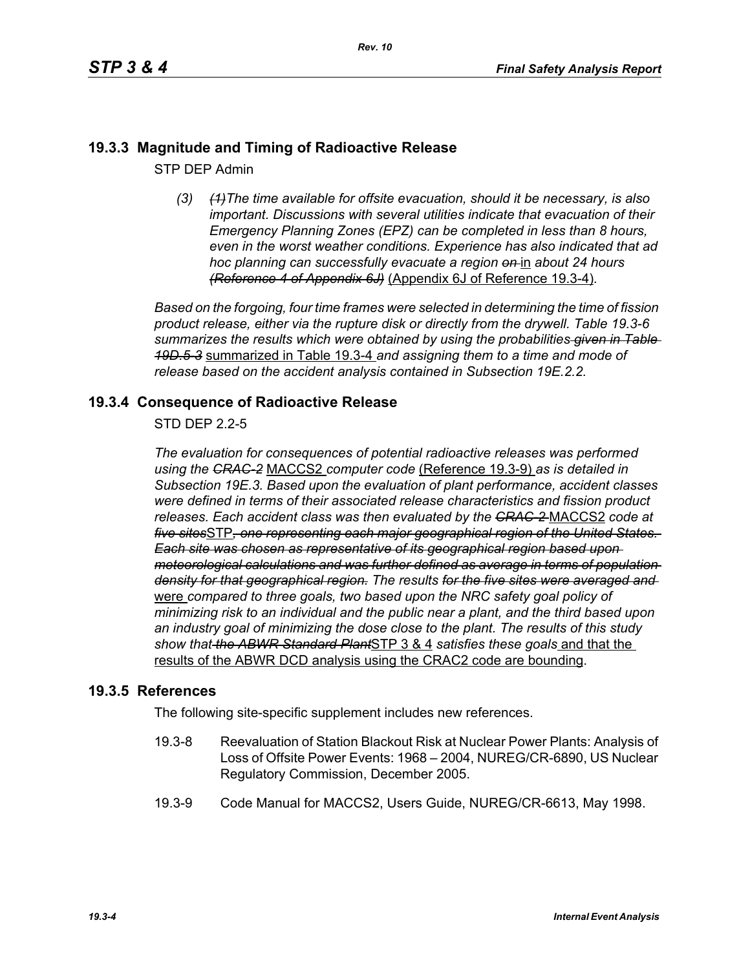# **19.3.3 Magnitude and Timing of Radioactive Release**

STP DEP Admin

*(3) (1)The time available for offsite evacuation, should it be necessary, is also important. Discussions with several utilities indicate that evacuation of their Emergency Planning Zones (EPZ) can be completed in less than 8 hours, even in the worst weather conditions. Experience has also indicated that ad hoc planning can successfully evacuate a region on* in *about 24 hours (Reference 4 of Appendix 6J)* (Appendix 6J of Reference 19.3-4)*.*

*Based on the forgoing, four time frames were selected in determining the time of fission product release, either via the rupture disk or directly from the drywell. Table 19.3-6 summarizes the results which were obtained by using the probabilities given in Table 19D.5-3* summarized in Table 19.3-4 *and assigning them to a time and mode of release based on the accident analysis contained in Subsection 19E.2.2.*

## **19.3.4 Consequence of Radioactive Release**

STD DEP 2.2-5

*The evaluation for consequences of potential radioactive releases was performed using the CRAC-2* MACCS2 *computer code* (Reference 19.3-9) *as is detailed in Subsection 19E.3. Based upon the evaluation of plant performance, accident classes were defined in terms of their associated release characteristics and fission product releases. Each accident class was then evaluated by the CRAC-2* MACCS2 *code at five sites*STP*, one representing each major geographical region of the United States. Each site was chosen as representative of its geographical region based upon meteorological calculations and was further defined as average in terms of population density for that geographical region. The results for the five sites were averaged and*  were *compared to three goals, two based upon the NRC safety goal policy of minimizing risk to an individual and the public near a plant, and the third based upon an industry goal of minimizing the dose close to the plant. The results of this study show that the ABWR Standard Plant*STP 3 & 4 *satisfies these goals* and that the results of the ABWR DCD analysis using the CRAC2 code are bounding.

## **19.3.5 References**

The following site-specific supplement includes new references.

- 19.3-8 Reevaluation of Station Blackout Risk at Nuclear Power Plants: Analysis of Loss of Offsite Power Events: 1968 – 2004, NUREG/CR-6890, US Nuclear Regulatory Commission, December 2005.
- 19.3-9 Code Manual for MACCS2, Users Guide, NUREG/CR-6613, May 1998.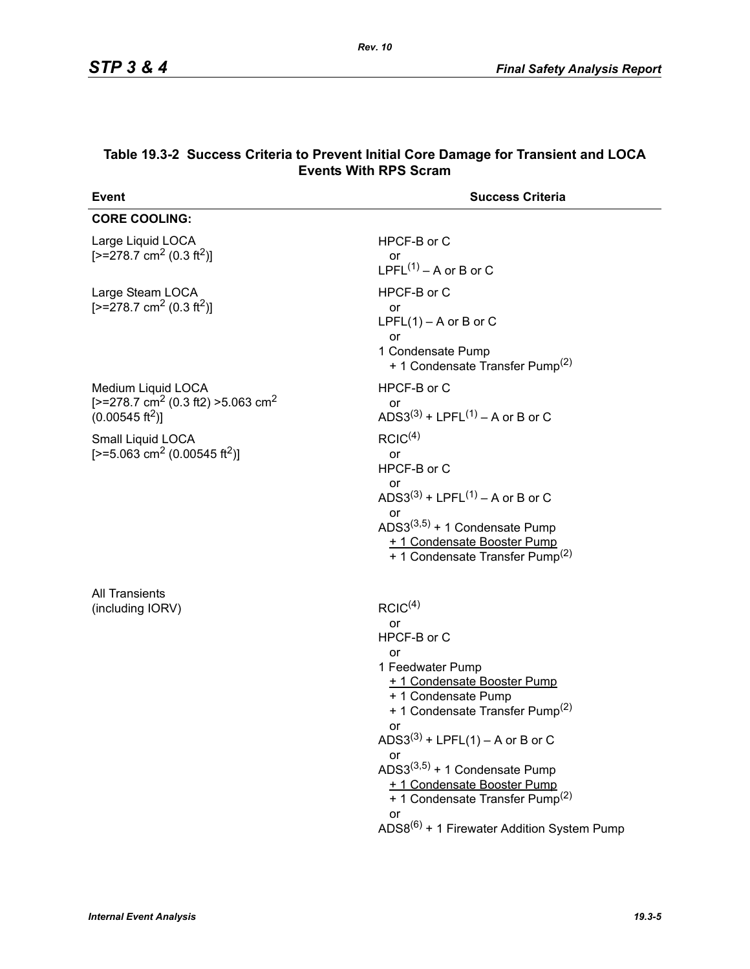| <b>Event</b>                                                                                                        | <b>Success Criteria</b>                                                                                                                                                                                                                                                                                                                                                                                       |
|---------------------------------------------------------------------------------------------------------------------|---------------------------------------------------------------------------------------------------------------------------------------------------------------------------------------------------------------------------------------------------------------------------------------------------------------------------------------------------------------------------------------------------------------|
| <b>CORE COOLING:</b>                                                                                                |                                                                                                                                                                                                                                                                                                                                                                                                               |
| Large Liquid LOCA<br>$[-278.7 \text{ cm}^2 (0.3 \text{ ft}^2)]$                                                     | HPCF-B or C<br>or<br>LPFL $(1)$ – A or B or C                                                                                                                                                                                                                                                                                                                                                                 |
| Large Steam LOCA<br>$[-278.7 \text{ cm}^2 (0.3 \text{ ft}^2)]$                                                      | HPCF-B or C<br>or<br>LPFL $(1)$ – A or B or C<br>or<br>1 Condensate Pump<br>+ 1 Condensate Transfer Pump <sup>(2)</sup>                                                                                                                                                                                                                                                                                       |
| Medium Liquid LOCA<br>[ $>=$ 278.7 cm <sup>2</sup> (0.3 ft2) $>=$ 5.063 cm <sup>2</sup><br>$(0.00545 \text{ ft}^2)$ | HPCF-B or C<br>or<br>ADS3 <sup>(3)</sup> + LPFL <sup>(1)</sup> – A or B or C                                                                                                                                                                                                                                                                                                                                  |
| Small Liquid LOCA<br>[>=5.063 cm <sup>2</sup> (0.00545 ft <sup>2</sup> )]                                           | RCIC <sup>(4)</sup><br><b>or</b><br>HPCF-B or C<br>or<br>ADS3 <sup>(3)</sup> + LPFL <sup>(1)</sup> – A or B or C<br>or<br>ADS3 $(3,5)$ + 1 Condensate Pump<br>+ 1 Condensate Booster Pump<br>+ 1 Condensate Transfer Pump <sup>(2)</sup>                                                                                                                                                                      |
| <b>All Transients</b><br>(including IORV)                                                                           | RCIC <sup>(4)</sup><br>or<br>HPCF-B or C<br>or<br>1 Feedwater Pump<br>+ 1 Condensate Booster Pump<br>+ 1 Condensate Pump<br>+ 1 Condensate Transfer Pump <sup>(2)</sup><br>or<br>$ADS3^{(3)} + LPFL(1) - A$ or B or C<br>or<br>ADS3 $(3,5)$ + 1 Condensate Pump<br>+ 1 Condensate Booster Pump<br>+ 1 Condensate Transfer Pump <sup>(2)</sup><br>or<br>ADS8 <sup>(6)</sup> + 1 Firewater Addition System Pump |

#### **Table 19.3-2 Success Criteria to Prevent Initial Core Damage for Transient and LOCA Events With RPS Scram**